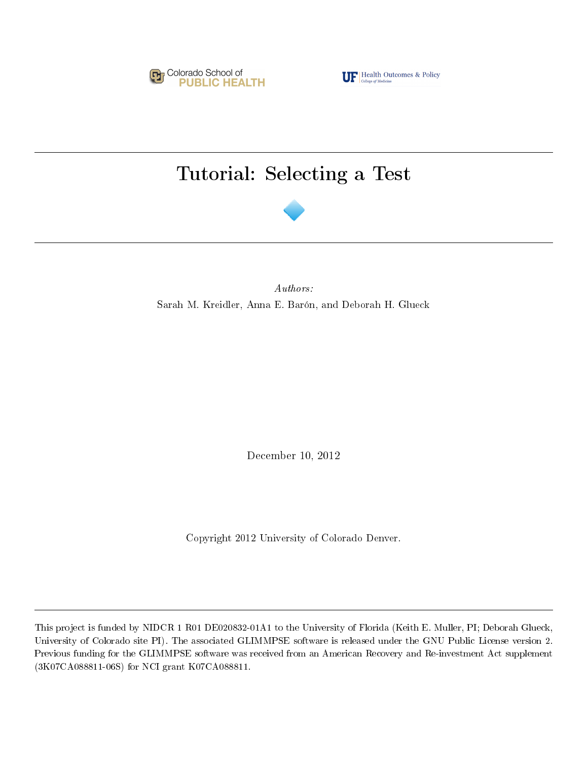

**TF** Health Outcomes & Policy

# Tutorial: Selecting a Test



Authors: Sarah M. Kreidler, Anna E. Barón, and Deborah H. Glueck

December 10, 2012

Copyright 2012 University of Colorado Denver.

This project is funded by NIDCR 1 R01 DE020832-01A1 to the University of Florida (Keith E. Muller, PI; Deborah Glueck, University of Colorado site PI). The associated GLIMMPSE software is released under the GNU Public License version 2. Previous funding for the GLIMMPSE software was received from an American Recovery and Re-investment Act supplement (3K07CA088811-06S) for NCI grant K07CA088811.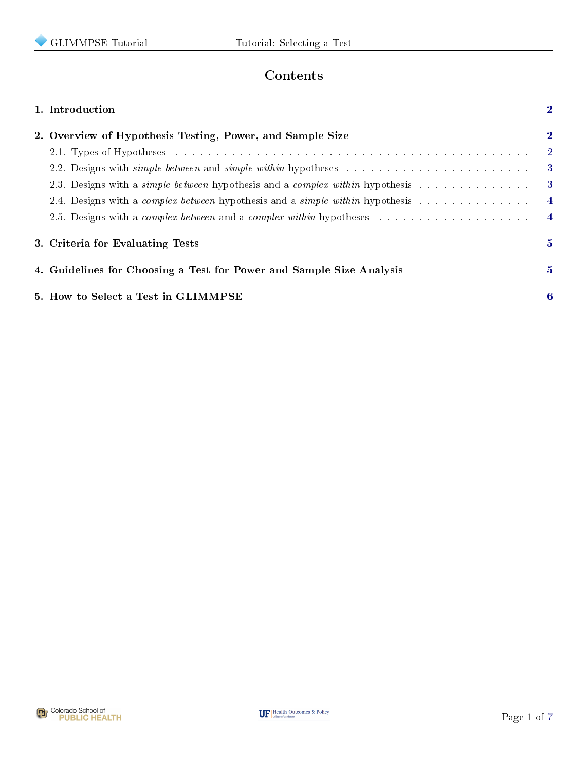

# Contents

|                                                           | 1. Introduction                                                                                                                                                                                                                | $\mathbf{2}$ |
|-----------------------------------------------------------|--------------------------------------------------------------------------------------------------------------------------------------------------------------------------------------------------------------------------------|--------------|
| 2. Overview of Hypothesis Testing, Power, and Sample Size |                                                                                                                                                                                                                                |              |
|                                                           | 2.1. Types of Hypotheses entering the contract of the contract of the contract of the contract of the contract of the contract of the contract of the contract of the contract of the contract of the contract of the contract | $2^{\circ}$  |
|                                                           | 2.2. Designs with <i>simple between</i> and <i>simple within</i> hypotheses                                                                                                                                                    | -3           |
|                                                           | 2.3. Designs with a <i>simple between</i> hypothesis and a <i>complex within</i> hypothesis                                                                                                                                    | -3-          |
|                                                           | 2.4. Designs with a <i>complex between</i> hypothesis and a <i>simple within</i> hypothesis                                                                                                                                    | 4            |
|                                                           |                                                                                                                                                                                                                                | $\sim$ 4     |
|                                                           | 3. Criteria for Evaluating Tests                                                                                                                                                                                               | 5.           |
|                                                           | 4. Guidelines for Choosing a Test for Power and Sample Size Analysis                                                                                                                                                           | $5^{\circ}$  |
|                                                           | 5. How to Select a Test in GLIMMPSE                                                                                                                                                                                            | 6            |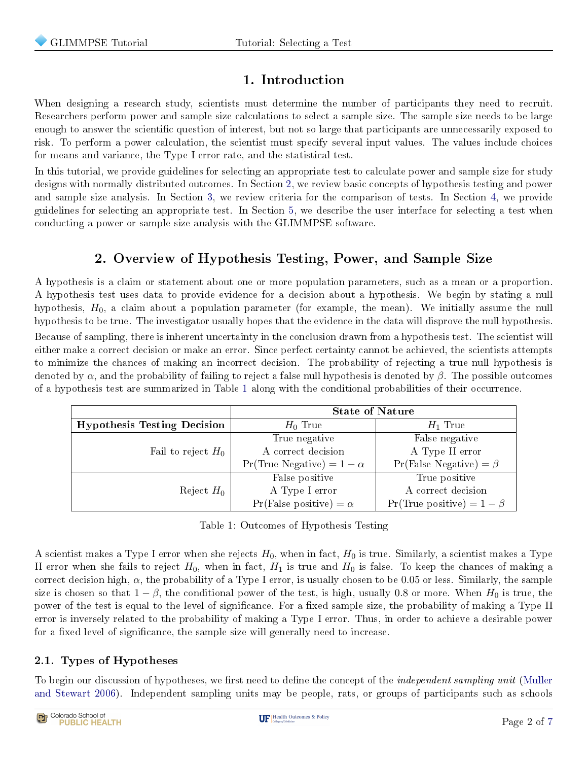# 1. Introduction

<span id="page-2-0"></span>When designing a research study, scientists must determine the number of participants they need to recruit. Researchers perform power and sample size calculations to select a sample size. The sample size needs to be large enough to answer the scientific question of interest, but not so large that participants are unnecessarily exposed to risk. To perform a power calculation, the scientist must specify several input values. The values include choices for means and variance, the Type I error rate, and the statistical test.

In this tutorial, we provide guidelines for selecting an appropriate test to calculate power and sample size for study designs with normally distributed outcomes. In Section [2,](#page-2-1) we review basic concepts of hypothesis testing and power and sample size analysis. In Section [3,](#page-5-0) we review criteria for the comparison of tests. In Section [4,](#page-5-1) we provide guidelines for selecting an appropriate test. In Section [5,](#page-6-0) we describe the user interface for selecting a test when conducting a power or sample size analysis with the GLIMMPSE software.

# 2. Overview of Hypothesis Testing, Power, and Sample Size

<span id="page-2-1"></span>A hypothesis is a claim or statement about one or more population parameters, such as a mean or a proportion. A hypothesis test uses data to provide evidence for a decision about a hypothesis. We begin by stating a null hypothesis,  $H_0$ , a claim about a population parameter (for example, the mean). We initially assume the null hypothesis to be true. The investigator usually hopes that the evidence in the data will disprove the null hypothesis. Because of sampling, there is inherent uncertainty in the conclusion drawn from a hypothesis test. The scientist will either make a correct decision or make an error. Since perfect certainty cannot be achieved, the scientists attempts to minimize the chances of making an incorrect decision. The probability of rejecting a true null hypothesis is denoted by  $\alpha$ , and the probability of failing to reject a false null hypothesis is denoted by  $\beta$ . The possible outcomes of a hypothesis test are summarized in Table [1](#page-2-3) along with the conditional probabilities of their occurrence.

|                                    | <b>State of Nature</b>                  |                                        |  |
|------------------------------------|-----------------------------------------|----------------------------------------|--|
| <b>Hypothesis Testing Decision</b> | $H_0$ True                              | $H_1$ True                             |  |
|                                    | True negative                           | False negative                         |  |
| Fail to reject $H_0$               | A correct decision                      | A Type II error                        |  |
|                                    | $Pr(\text{True Negative}) = 1 - \alpha$ | $Pr(False Negative) = \beta$           |  |
|                                    | False positive                          | True positive                          |  |
| Reject $H_0$                       | A Type I error                          | A correct decision                     |  |
|                                    | $Pr(False positive) = \alpha$           | $Pr(\text{True positive}) = 1 - \beta$ |  |

Table 1: Outcomes of Hypothesis Testing

<span id="page-2-3"></span>A scientist makes a Type I error when she rejects  $H_0$ , when in fact,  $H_0$  is true. Similarly, a scientist makes a Type II error when she fails to reject  $H_0$ , when in fact,  $H_1$  is true and  $H_0$  is false. To keep the chances of making a correct decision high,  $\alpha$ , the probability of a Type I error, is usually chosen to be 0.05 or less. Similarly, the sample size is chosen so that  $1 - \beta$ , the conditional power of the test, is high, usually 0.8 or more. When  $H_0$  is true, the power of the test is equal to the level of significance. For a fixed sample size, the probability of making a Type II error is inversely related to the probability of making a Type I error. Thus, in order to achieve a desirable power for a fixed level of significance, the sample size will generally need to increase.

#### <span id="page-2-2"></span>2.1. Types of Hypotheses

To begin our discussion of hypotheses, we first need to define the concept of the *independent sampling unit* [\(Muller](#page-7-1) [and Stewart](#page-7-1) [2006\)](#page-7-1). Independent sampling units may be people, rats, or groups of participants such as schools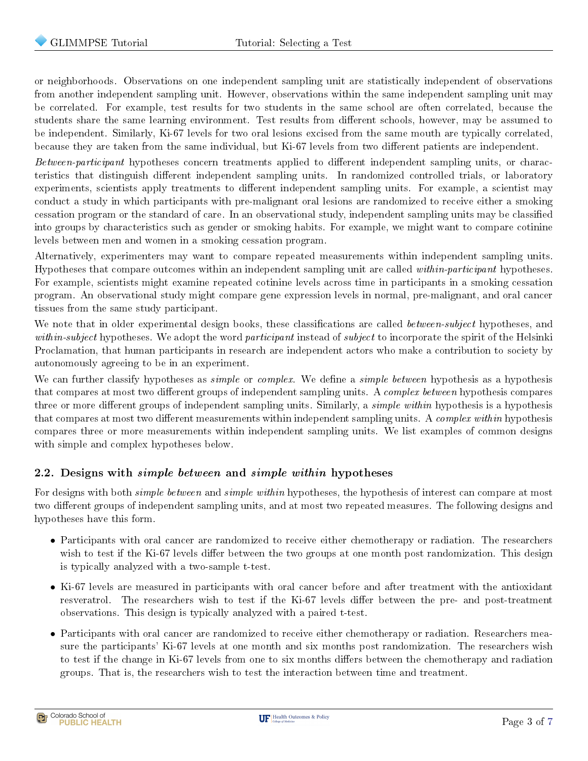or neighborhoods. Observations on one independent sampling unit are statistically independent of observations from another independent sampling unit. However, observations within the same independent sampling unit may be correlated. For example, test results for two students in the same school are often correlated, because the students share the same learning environment. Test results from different schools, however, may be assumed to be independent. Similarly, Ki-67 levels for two oral lesions excised from the same mouth are typically correlated, because they are taken from the same individual, but Ki-67 levels from two different patients are independent.

Between-participant hypotheses concern treatments applied to different independent sampling units, or characteristics that distinguish different independent sampling units. In randomized controlled trials, or laboratory experiments, scientists apply treatments to different independent sampling units. For example, a scientist may conduct a study in which participants with pre-malignant oral lesions are randomized to receive either a smoking cessation program or the standard of care. In an observational study, independent sampling units may be classied into groups by characteristics such as gender or smoking habits. For example, we might want to compare cotinine levels between men and women in a smoking cessation program.

Alternatively, experimenters may want to compare repeated measurements within independent sampling units. Hypotheses that compare outcomes within an independent sampling unit are called within-participant hypotheses. For example, scientists might examine repeated cotinine levels across time in participants in a smoking cessation program. An observational study might compare gene expression levels in normal, pre-malignant, and oral cancer tissues from the same study participant.

We note that in older experimental design books, these classifications are called *between-subject* hypotheses, and within-subject hypotheses. We adopt the word participant instead of subject to incorporate the spirit of the Helsinki Proclamation, that human participants in research are independent actors who make a contribution to society by autonomously agreeing to be in an experiment.

We can further classify hypotheses as *simple* or *complex*. We define a *simple between* hypothesis as a hypothesis that compares at most two different groups of independent sampling units. A *complex between* hypothesis compares three or more different groups of independent sampling units. Similarly, a *simple within* hypothesis is a hypothesis that compares at most two different measurements within independent sampling units. A *complex within* hypothesis compares three or more measurements within independent sampling units. We list examples of common designs with simple and complex hypotheses below.

#### <span id="page-3-0"></span>2.2. Designs with simple between and simple within hypotheses

For designs with both *simple between* and *simple within* hypotheses, the hypothesis of interest can compare at most two different groups of independent sampling units, and at most two repeated measures. The following designs and hypotheses have this form.

- Participants with oral cancer are randomized to receive either chemotherapy or radiation. The researchers wish to test if the Ki-67 levels differ between the two groups at one month post randomization. This design is typically analyzed with a two-sample t-test.
- Ki-67 levels are measured in participants with oral cancer before and after treatment with the antioxidant resveratrol. The researchers wish to test if the Ki-67 levels differ between the pre- and post-treatment observations. This design is typically analyzed with a paired t-test.
- <span id="page-3-1"></span>• Participants with oral cancer are randomized to receive either chemotherapy or radiation. Researchers measure the participants' Ki-67 levels at one month and six months post randomization. The researchers wish to test if the change in Ki-67 levels from one to six months differs between the chemotherapy and radiation groups. That is, the researchers wish to test the interaction between time and treatment.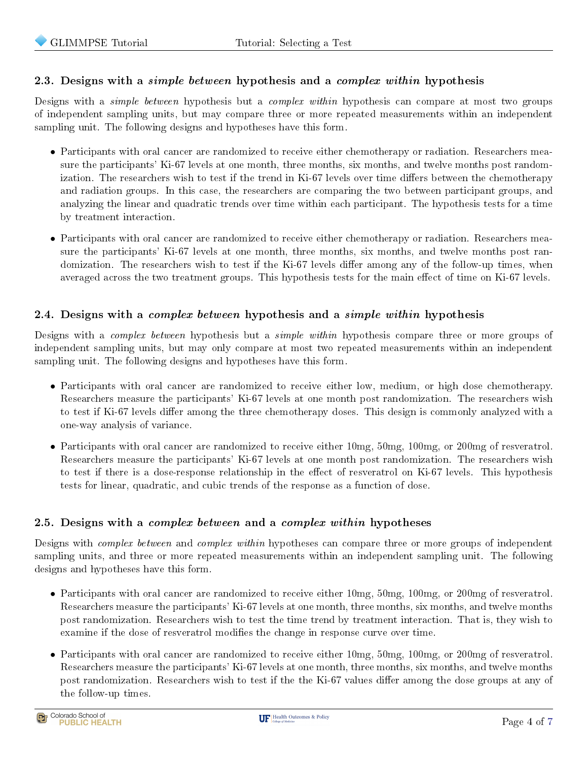#### 2.3. Designs with a *simple between* hypothesis and a *complex within* hypothesis

Designs with a simple between hypothesis but a complex within hypothesis can compare at most two groups of independent sampling units, but may compare three or more repeated measurements within an independent sampling unit. The following designs and hypotheses have this form.

- Participants with oral cancer are randomized to receive either chemotherapy or radiation. Researchers measure the participants' Ki-67 levels at one month, three months, six months, and twelve months post randomization. The researchers wish to test if the trend in Ki-67 levels over time differs between the chemotherapy and radiation groups. In this case, the researchers are comparing the two between participant groups, and analyzing the linear and quadratic trends over time within each participant. The hypothesis tests for a time by treatment interaction.
- Participants with oral cancer are randomized to receive either chemotherapy or radiation. Researchers measure the participants' Ki-67 levels at one month, three months, six months, and twelve months post randomization. The researchers wish to test if the Ki-67 levels differ among any of the follow-up times, when averaged across the two treatment groups. This hypothesis tests for the main effect of time on Ki-67 levels.

#### <span id="page-4-0"></span>2.4. Designs with a *complex between* hypothesis and a *simple within* hypothesis

Designs with a *complex between* hypothesis but a *simple within* hypothesis compare three or more groups of independent sampling units, but may only compare at most two repeated measurements within an independent sampling unit. The following designs and hypotheses have this form.

- Participants with oral cancer are randomized to receive either low, medium, or high dose chemotherapy. Researchers measure the participants' Ki-67 levels at one month post randomization. The researchers wish to test if Ki-67 levels differ among the three chemotherapy doses. This design is commonly analyzed with a one-way analysis of variance.
- Participants with oral cancer are randomized to receive either 10mg, 50mg, 100mg, or 200mg of resveratrol. Researchers measure the participants' Ki-67 levels at one month post randomization. The researchers wish to test if there is a dose-response relationship in the effect of resveratrol on Ki-67 levels. This hypothesis tests for linear, quadratic, and cubic trends of the response as a function of dose.

#### <span id="page-4-1"></span>2.5. Designs with a *complex between* and a *complex within* hypotheses

Designs with *complex between* and *complex within* hypotheses can compare three or more groups of independent sampling units, and three or more repeated measurements within an independent sampling unit. The following designs and hypotheses have this form.

- Participants with oral cancer are randomized to receive either 10mg, 50mg, 100mg, or 200mg of resveratrol. Researchers measure the participants' Ki-67 levels at one month, three months, six months, and twelve months post randomization. Researchers wish to test the time trend by treatment interaction. That is, they wish to examine if the dose of resveratrol modies the change in response curve over time.
- Participants with oral cancer are randomized to receive either 10mg, 50mg, 100mg, or 200mg of resveratrol. Researchers measure the participants' Ki-67 levels at one month, three months, six months, and twelve months post randomization. Researchers wish to test if the the Ki-67 values differ among the dose groups at any of the follow-up times.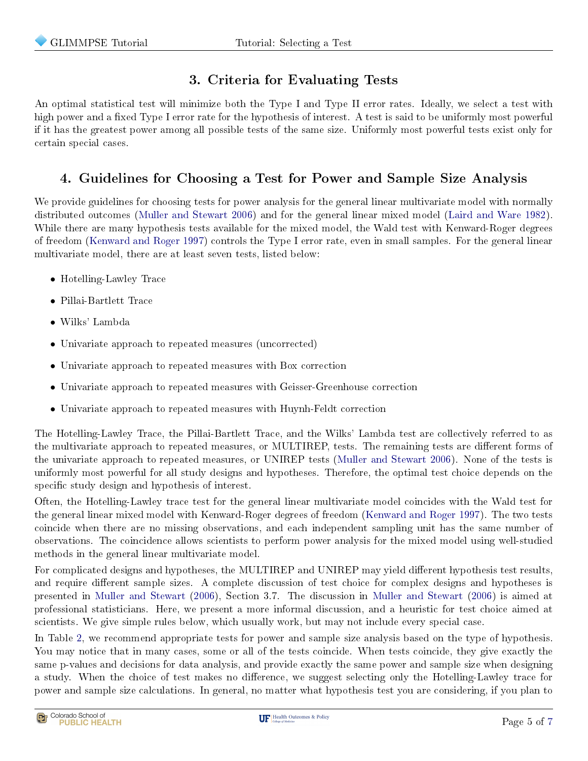# 3. Criteria for Evaluating Tests

<span id="page-5-0"></span>An optimal statistical test will minimize both the Type I and Type II error rates. Ideally, we select a test with high power and a fixed Type I error rate for the hypothesis of interest. A test is said to be uniformly most powerful if it has the greatest power among all possible tests of the same size. Uniformly most powerful tests exist only for certain special cases.

# 4. Guidelines for Choosing a Test for Power and Sample Size Analysis

<span id="page-5-1"></span>We provide guidelines for choosing tests for power analysis for the general linear multivariate model with normally distributed outcomes [\(Muller and Stewart](#page-7-1) [2006\)](#page-7-1) and for the general linear mixed model [\(Laird and Ware](#page-7-2) [1982\)](#page-7-2). While there are many hypothesis tests available for the mixed model, the Wald test with Kenward-Roger degrees of freedom [\(Kenward and Roger](#page-7-3) [1997\)](#page-7-3) controls the Type I error rate, even in small samples. For the general linear multivariate model, there are at least seven tests, listed below:

- Hotelling-Lawley Trace
- Pillai-Bartlett Trace
- Wilks' Lambda
- Univariate approach to repeated measures (uncorrected)
- Univariate approach to repeated measures with Box correction
- Univariate approach to repeated measures with Geisser-Greenhouse correction
- Univariate approach to repeated measures with Huynh-Feldt correction

The Hotelling-Lawley Trace, the Pillai-Bartlett Trace, and the Wilks' Lambda test are collectively referred to as the multivariate approach to repeated measures, or MULTIREP, tests. The remaining tests are different forms of the univariate approach to repeated measures, or UNIREP tests [\(Muller and Stewart](#page-7-1) [2006\)](#page-7-1). None of the tests is uniformly most powerful for all study designs and hypotheses. Therefore, the optimal test choice depends on the specific study design and hypothesis of interest.

Often, the Hotelling-Lawley trace test for the general linear multivariate model coincides with the Wald test for the general linear mixed model with Kenward-Roger degrees of freedom [\(Kenward and Roger](#page-7-3) [1997\)](#page-7-3). The two tests coincide when there are no missing observations, and each independent sampling unit has the same number of observations. The coincidence allows scientists to perform power analysis for the mixed model using well-studied methods in the general linear multivariate model.

For complicated designs and hypotheses, the MULTIREP and UNIREP may yield different hypothesis test results, and require different sample sizes. A complete discussion of test choice for complex designs and hypotheses is presented in [Muller and Stewart](#page-7-1) [\(2006\)](#page-7-1), Section 3.7. The discussion in [Muller and Stewart](#page-7-1) [\(2006\)](#page-7-1) is aimed at professional statisticians. Here, we present a more informal discussion, and a heuristic for test choice aimed at scientists. We give simple rules below, which usually work, but may not include every special case.

In Table [2,](#page-6-1) we recommend appropriate tests for power and sample size analysis based on the type of hypothesis. You may notice that in many cases, some or all of the tests coincide. When tests coincide, they give exactly the same p-values and decisions for data analysis, and provide exactly the same power and sample size when designing a study. When the choice of test makes no difference, we suggest selecting only the Hotelling-Lawley trace for power and sample size calculations. In general, no matter what hypothesis test you are considering, if you plan to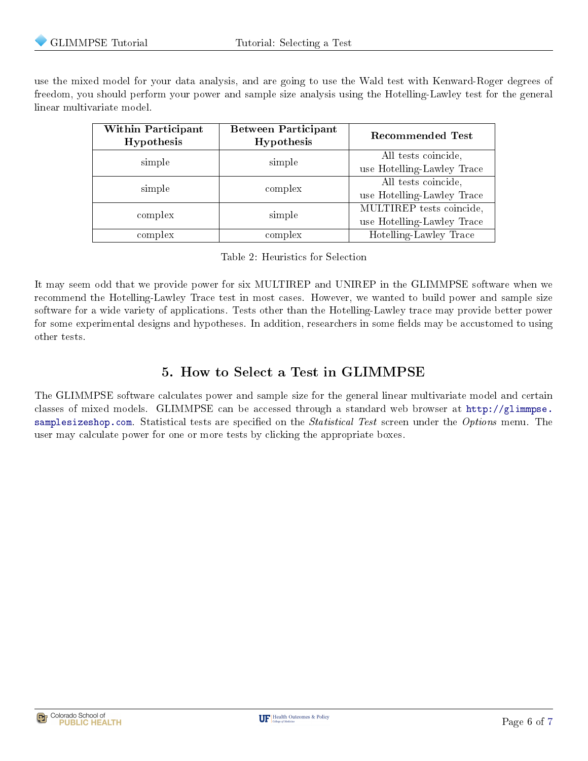use the mixed model for your data analysis, and are going to use the Wald test with Kenward-Roger degrees of freedom, you should perform your power and sample size analysis using the Hotelling-Lawley test for the general linear multivariate model.

| Within Participant<br>Hypothesis | <b>Between Participant</b><br>Hypothesis | <b>Recommended Test</b>    |
|----------------------------------|------------------------------------------|----------------------------|
| simple                           | simple                                   | All tests coincide,        |
|                                  |                                          | use Hotelling-Lawley Trace |
| simple                           | complex                                  | All tests coincide,        |
|                                  |                                          | use Hotelling-Lawley Trace |
| complex                          | simple                                   | MULTIREP tests coincide,   |
|                                  |                                          | use Hotelling-Lawley Trace |
| complex                          | complex                                  | Hotelling-Lawley Trace     |

Table 2: Heuristics for Selection

<span id="page-6-1"></span>It may seem odd that we provide power for six MULTIREP and UNIREP in the GLIMMPSE software when we recommend the Hotelling-Lawley Trace test in most cases. However, we wanted to build power and sample size software for a wide variety of applications. Tests other than the Hotelling-Lawley trace may provide better power for some experimental designs and hypotheses. In addition, researchers in some fields may be accustomed to using other tests.

### 5. How to Select a Test in GLIMMPSE

<span id="page-6-0"></span>The GLIMMPSE software calculates power and sample size for the general linear multivariate model and certain classes of mixed models. GLIMMPSE can be accessed through a standard web browser at [http://glimmpse.](http://glimmpse.samplesizeshop.com) [samplesizeshop.com.](http://glimmpse.samplesizeshop.com) Statistical tests are specified on the *Statistical Test* screen under the *Options* menu. The user may calculate power for one or more tests by clicking the appropriate boxes.